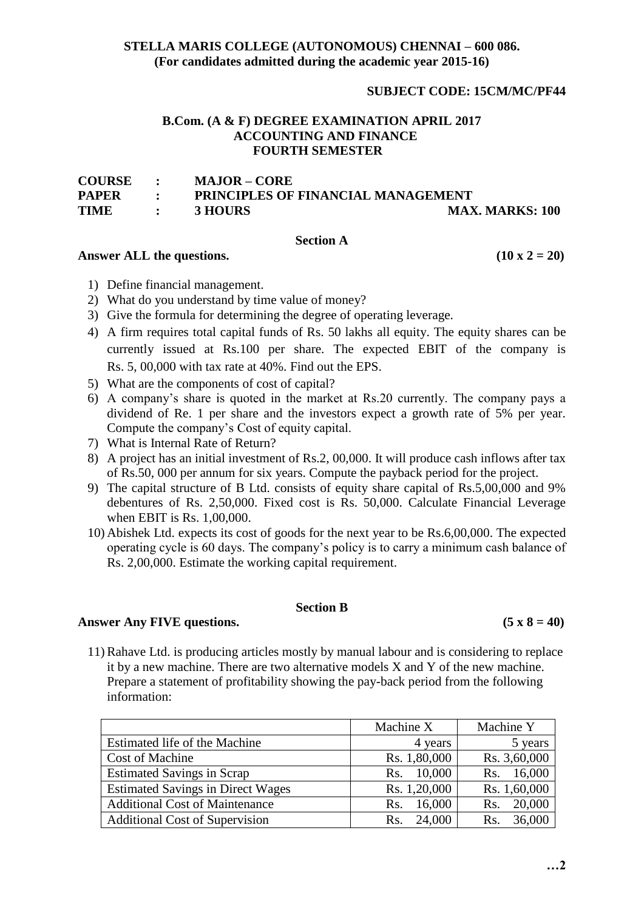# **STELLA MARIS COLLEGE (AUTONOMOUS) CHENNAI – 600 086. (For candidates admitted during the academic year 2015-16)**

# **SUBJECT CODE: 15CM/MC/PF44**

## **B.Com. (A & F) DEGREE EXAMINATION APRIL 2017 ACCOUNTING AND FINANCE FOURTH SEMESTER**

| <b>COURSE</b> | $\bullet$                          | <b>MAJOR – CORE</b>                       |                        |
|---------------|------------------------------------|-------------------------------------------|------------------------|
| <b>PAPER</b>  | $\sim$ $\sim$ $\sim$ $\sim$        | <b>PRINCIPLES OF FINANCIAL MANAGEMENT</b> |                        |
| <b>TIME</b>   | $\sim$ $\sim$ $\sim$ $\sim$ $\sim$ | <b>3 HOURS</b>                            | <b>MAX. MARKS: 100</b> |

### **Section A**

### Answer ALL the questions.  $(10 \times 2 = 20)$

- 1) Define financial management.
- 2) What do you understand by time value of money?
- 3) Give the formula for determining the degree of operating leverage.
- 4) A firm requires total capital funds of Rs. 50 lakhs all equity. The equity shares can be currently issued at Rs.100 per share. The expected EBIT of the company is Rs. 5, 00,000 with tax rate at 40%. Find out the EPS.
- 5) What are the components of cost of capital?
- 6) A company's share is quoted in the market at Rs.20 currently. The company pays a dividend of Re. 1 per share and the investors expect a growth rate of 5% per year. Compute the company's Cost of equity capital.
- 7) What is Internal Rate of Return?
- 8) A project has an initial investment of Rs.2, 00,000. It will produce cash inflows after tax of Rs.50, 000 per annum for six years. Compute the payback period for the project.
- 9) The capital structure of B Ltd. consists of equity share capital of Rs.5,00,000 and 9% debentures of Rs. 2,50,000. Fixed cost is Rs. 50,000. Calculate Financial Leverage when EBIT is Rs. 1,00,000.
- 10) Abishek Ltd. expects its cost of goods for the next year to be Rs.6,00,000. The expected operating cycle is 60 days. The company's policy is to carry a minimum cash balance of Rs. 2,00,000. Estimate the working capital requirement.

### **Section B**

Answer Any FIVE questions.  $(5 \times 8 = 40)$ 

11) Rahave Ltd. is producing articles mostly by manual labour and is considering to replace it by a new machine. There are two alternative models X and Y of the new machine. Prepare a statement of profitability showing the pay-back period from the following information:

|                                          | Machine X     | Machine Y     |
|------------------------------------------|---------------|---------------|
| Estimated life of the Machine            | 4 years       | 5 years       |
| <b>Cost of Machine</b>                   | Rs. 1,80,000  | Rs. 3,60,000  |
| <b>Estimated Savings in Scrap</b>        | 10,000<br>Rs. | 16,000<br>Rs. |
| <b>Estimated Savings in Direct Wages</b> | Rs. 1,20,000  | Rs. 1,60,000  |
| <b>Additional Cost of Maintenance</b>    | 16,000<br>Rs. | 20,000<br>Rs. |
| <b>Additional Cost of Supervision</b>    | 24,000<br>Rs. | 36,000<br>Rs. |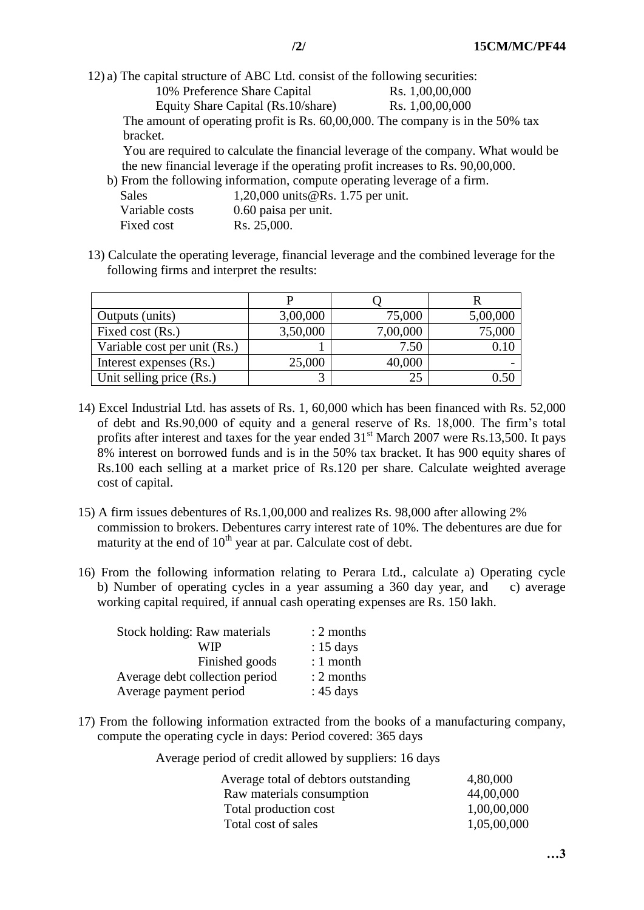12) a) The capital structure of ABC Ltd. consist of the following securities: 10% Preference Share Capital Rs. 1,00,00,000 Equity Share Capital (Rs.10/share) Rs. 1,00,00,000 The amount of operating profit is Rs. 60,00,000. The company is in the 50% tax bracket. You are required to calculate the financial leverage of the company. What would be

the new financial leverage if the operating profit increases to Rs. 90,00,000.<br>From the following information, compute operating leverage of a firm verage of a firm.

|                | b) From the following information, compute operating lev |
|----------------|----------------------------------------------------------|
| <b>Sales</b>   | 1,20,000 units @Rs. 1.75 per unit.                       |
| Variable costs | 0.60 paisa per unit.                                     |
| Fixed cost     | Rs. 25,000.                                              |

13) Calculate the operating leverage, financial leverage and the combined leverage for the following firms and interpret the results:

| Outputs (units)              | 3,00,000 | 75,000   | 5,00,000 |
|------------------------------|----------|----------|----------|
| Fixed cost (Rs.)             | 3,50,000 | 7,00,000 | 75,000   |
| Variable cost per unit (Rs.) |          | 7.50     | 0.10     |
| Interest expenses (Rs.)      | 25,000   | 40,000   |          |
| Unit selling price (Rs.)     | 3        | 25       | 0.50     |

- 14) Excel Industrial Ltd. has assets of Rs. 1, 60,000 which has been financed with Rs. 52,000 of debt and Rs.90,000 of equity and a general reserve of Rs. 18,000. The firm's total profits after interest and taxes for the year ended  $31<sup>st</sup>$  March 2007 were Rs.13,500. It pays 8% interest on borrowed funds and is in the 50% tax bracket. It has 900 equity shares of Rs.100 each selling at a market price of Rs.120 per share. Calculate weighted average cost of capital.
- 15) A firm issues debentures of Rs.1,00,000 and realizes Rs. 98,000 after allowing 2% commission to brokers. Debentures carry interest rate of 10%. The debentures are due for maturity at the end of  $10<sup>th</sup>$  year at par. Calculate cost of debt.
- 16) From the following information relating to Perara Ltd., calculate a) Operating cycle b) Number of operating cycles in a year assuming a 360 day year, and c) average working capital required, if annual cash operating expenses are Rs. 150 lakh.

| Stock holding: Raw materials   | $: 2$ months        |
|--------------------------------|---------------------|
| WIP                            | $: 15 \text{ days}$ |
| Finished goods                 | $: 1$ month         |
| Average debt collection period | $: 2$ months        |
| Average payment period         | : $45 \text{ days}$ |

17) From the following information extracted from the books of a manufacturing company, compute the operating cycle in days: Period covered: 365 days

Average period of credit allowed by suppliers: 16 days

| Average total of debtors outstanding | 4,80,000    |
|--------------------------------------|-------------|
| Raw materials consumption            | 44,00,000   |
| Total production cost                | 1,00,00,000 |
| Total cost of sales                  | 1,05,00,000 |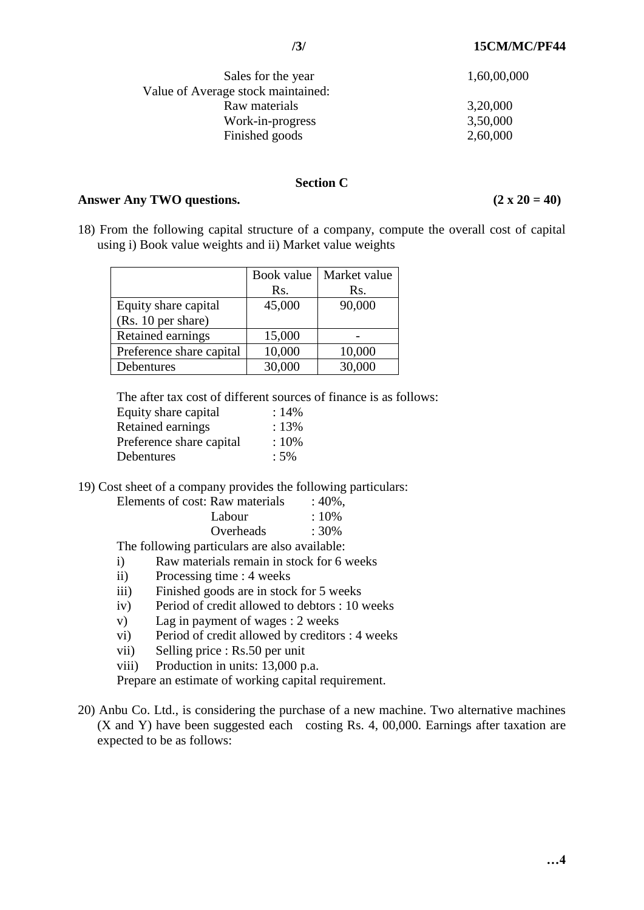| Sales for the year                 | 1,60,00,000 |
|------------------------------------|-------------|
| Value of Average stock maintained: |             |
| Raw materials                      | 3,20,000    |
| Work-in-progress                   | 3,50,000    |
| Finished goods                     | 2,60,000    |

### **Section C**

### Answer Any TWO questions.  $(2 \times 20 = 40)$

18) From the following capital structure of a company, compute the overall cost of capital using i) Book value weights and ii) Market value weights

|                          | Book value | Market value |
|--------------------------|------------|--------------|
|                          | Rs.        | Rs.          |
| Equity share capital     | 45,000     | 90,000       |
| (Rs. 10 per share)       |            |              |
| Retained earnings        | 15,000     |              |
| Preference share capital | 10,000     | 10,000       |
| Debentures               | 30,000     | 30,000       |

The after tax cost of different sources of finance is as follows:

| Equity share capital     | :14%   |
|--------------------------|--------|
| <b>Retained earnings</b> | : 13%  |
| Preference share capital | :10%   |
| Debentures               | $:5\%$ |

19) Cost sheet of a company provides the following particulars:

| Elements of cost: Raw materials | $:40\%$ , |
|---------------------------------|-----------|
| Labour                          | $:10\%$   |
| Overheads                       | $:30\%$   |
|                                 |           |

The following particulars are also available:

- i) Raw materials remain in stock for 6 weeks
- ii) Processing time : 4 weeks
- iii) Finished goods are in stock for 5 weeks
- iv) Period of credit allowed to debtors : 10 weeks
- v) Lag in payment of wages : 2 weeks
- vi) Period of credit allowed by creditors : 4 weeks
- vii) Selling price : Rs.50 per unit

viii) Production in units: 13,000 p.a.

Prepare an estimate of working capital requirement.

20) Anbu Co. Ltd., is considering the purchase of a new machine. Two alternative machines (X and Y) have been suggested each costing Rs. 4, 00,000. Earnings after taxation are expected to be as follows: